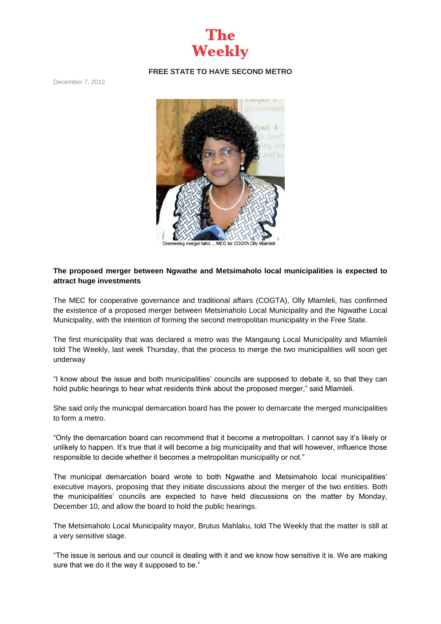

## **FREE STATE TO HAVE SECOND METRO**

December 7, 2012



## **The proposed merger between Ngwathe and Metsimaholo local municipalities is expected to attract huge investments**

The MEC for cooperative governance and traditional affairs (COGTA), Olly Mlamleli, has confirmed the existence of a proposed merger between Metsimaholo Local Municipality and the Ngwathe Local Municipality, with the intention of forming the second metropolitan municipality in the Free State.

The first municipality that was declared a metro was the Mangaung Local Municipality and Mlamleli told The Weekly, last week Thursday, that the process to merge the two municipalities will soon get underway

"I know about the issue and both municipalities' councils are supposed to debate it, so that they can hold public hearings to hear what residents think about the proposed merger," said Mlamleli.

She said only the municipal demarcation board has the power to demarcate the merged municipalities to form a metro.

"Only the demarcation board can recommend that it become a metropolitan. I cannot say it's likely or unlikely to happen. It's true that it will become a big municipality and that will however, influence those responsible to decide whether it becomes a metropolitan municipality or not."

The municipal demarcation board wrote to both Ngwathe and Metsimaholo local municipalities' executive mayors, proposing that they initiate discussions about the merger of the two entities. Both the municipalities' councils are expected to have held discussions on the matter by Monday, December 10, and allow the board to hold the public hearings.

The Metsimaholo Local Municipality mayor, Brutus Mahlaku, told The Weekly that the matter is still at a very sensitive stage.

"The issue is serious and our council is dealing with it and we know how sensitive it is. We are making sure that we do it the way it supposed to be."